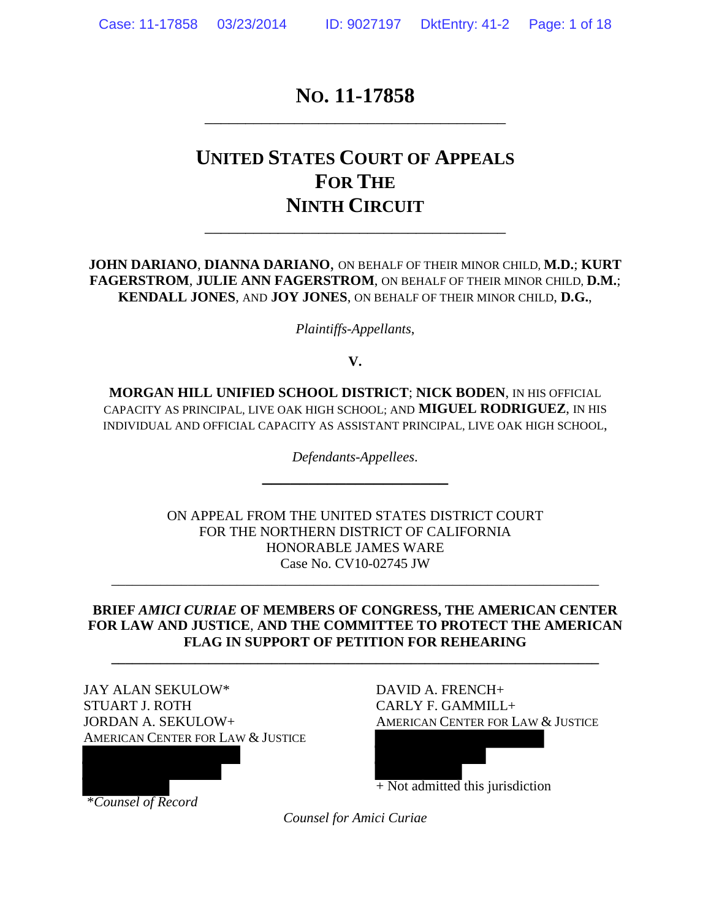### **NO. 11-17858** \_\_\_\_\_\_\_\_\_\_\_\_\_\_\_\_\_\_\_\_\_\_\_\_\_\_\_\_\_\_\_\_\_\_\_\_\_

# **UNITED STATES COURT OF APPEALS FOR THE NINTH CIRCUIT**

\_\_\_\_\_\_\_\_\_\_\_\_\_\_\_\_\_\_\_\_\_\_\_\_\_\_\_\_\_\_\_\_\_\_\_\_\_

**JOHN DARIANO**, **DIANNA DARIANO**, ON BEHALF OF THEIR MINOR CHILD, **M.D.**; **KURT FAGERSTROM**, **JULIE ANN FAGERSTROM**, ON BEHALF OF THEIR MINOR CHILD, **D.M.**; **KENDALL JONES**, AND **JOY JONES**, ON BEHALF OF THEIR MINOR CHILD, **D.G.**,

*Plaintiffs-Appellants*,

**V.**

**MORGAN HILL UNIFIED SCHOOL DISTRICT**; **NICK BODEN**, IN HIS OFFICIAL CAPACITY AS PRINCIPAL, LIVE OAK HIGH SCHOOL; AND **MIGUEL RODRIGUEZ**, IN HIS INDIVIDUAL AND OFFICIAL CAPACITY AS ASSISTANT PRINCIPAL, LIVE OAK HIGH SCHOOL,

> *Defendants-Appellees*. **\_\_\_\_\_\_\_\_\_\_\_\_\_\_\_\_\_\_\_\_**

ON APPEAL FROM THE UNITED STATES DISTRICT COURT FOR THE NORTHERN DISTRICT OF CALIFORNIA HONORABLE JAMES WARE Case No. CV10-02745 JW

#### **BRIEF** *AMICI CURIAE* **OF MEMBERS OF CONGRESS, THE AMERICAN CENTER FOR LAW AND JUSTICE**, **AND THE COMMITTEE TO PROTECT THE AMERICAN FLAG IN SUPPORT OF PETITION FOR REHEARING**

**\_\_\_\_\_\_\_\_\_\_\_\_\_\_\_\_\_\_\_\_\_\_\_\_\_\_\_\_\_\_\_\_\_\_\_\_\_\_\_\_\_\_\_\_\_\_\_\_\_\_\_\_\_\_\_\_\_\_\_\_\_\_\_\_\_\_\_\_\_\_** 

\_\_\_\_\_\_\_\_\_\_\_\_\_\_\_\_\_\_\_\_\_\_\_\_\_\_\_\_\_\_\_\_\_\_\_\_\_\_\_\_\_\_\_\_\_\_\_\_\_\_\_\_\_\_\_\_\_\_\_\_\_\_\_\_\_\_\_\_\_\_

JAY ALAN SEKULOW\* DAVID A. FRENCH+ STUART J. ROTH CARLY F. GAMMILL+ JORDAN A. SEKULOW+ AMERICAN CENTER FOR LAW & JUSTICE AMERICAN CENTER FOR LAW & JUSTICE

 $+$  Not admitted this jurisdiction

\**Counsel of Record*

*Counsel for Amici Curiae*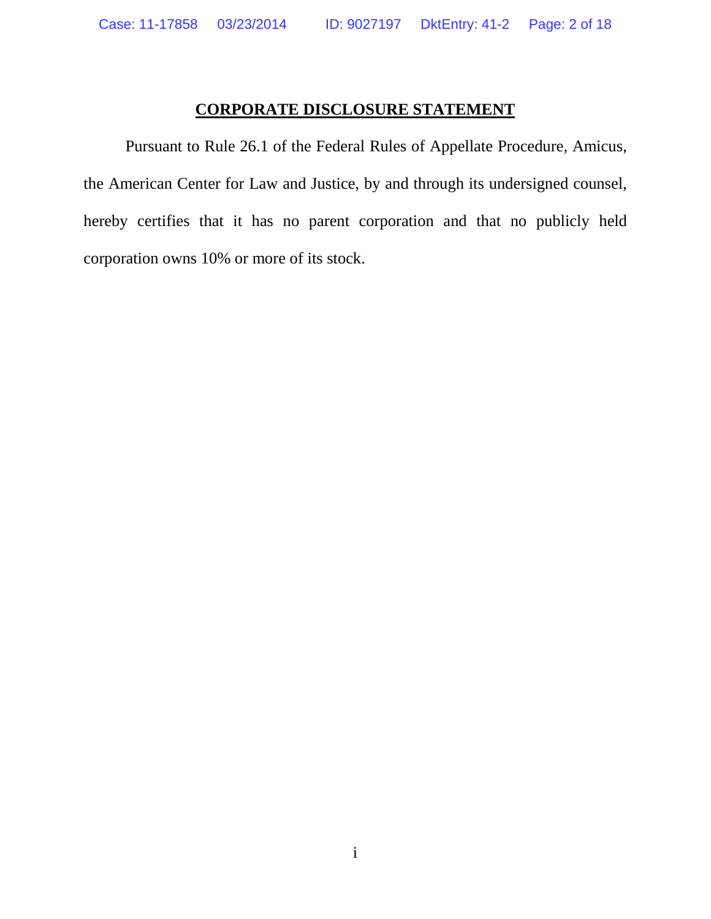### **CORPORATE DISCLOSURE STATEMENT**

Pursuant to Rule 26.1 of the Federal Rules of Appellate Procedure, Amicus, the American Center for Law and Justice, by and through its undersigned counsel, hereby certifies that it has no parent corporation and that no publicly held corporation owns 10% or more of its stock.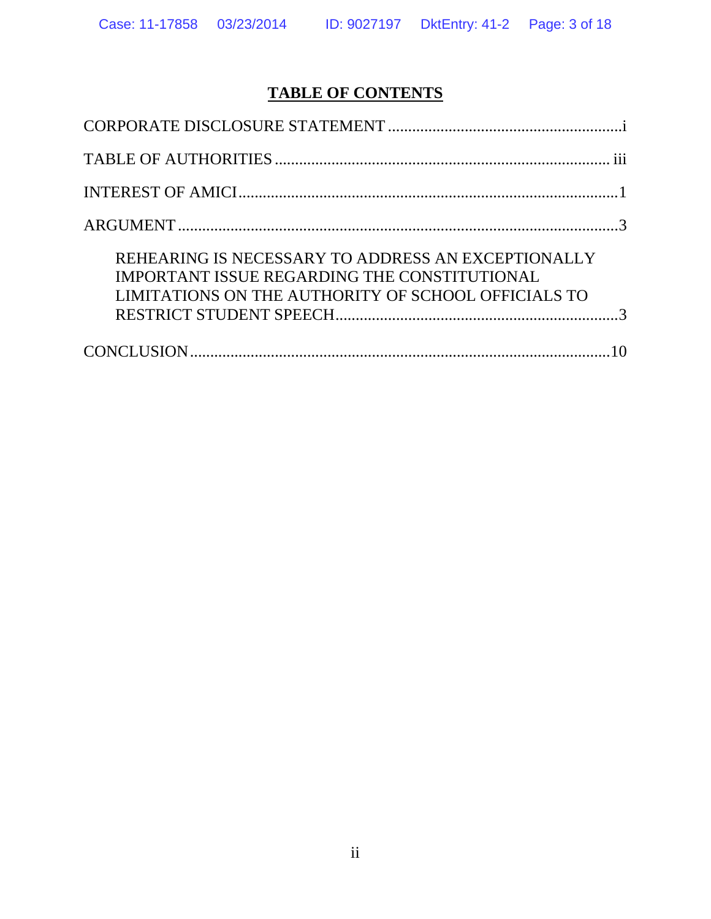# **TABLE OF CONTENTS**

| REHEARING IS NECESSARY TO ADDRESS AN EXCEPTIONALLY<br>IMPORTANT ISSUE REGARDING THE CONSTITUTIONAL<br>LIMITATIONS ON THE AUTHORITY OF SCHOOL OFFICIALS TO |  |
|-----------------------------------------------------------------------------------------------------------------------------------------------------------|--|
|                                                                                                                                                           |  |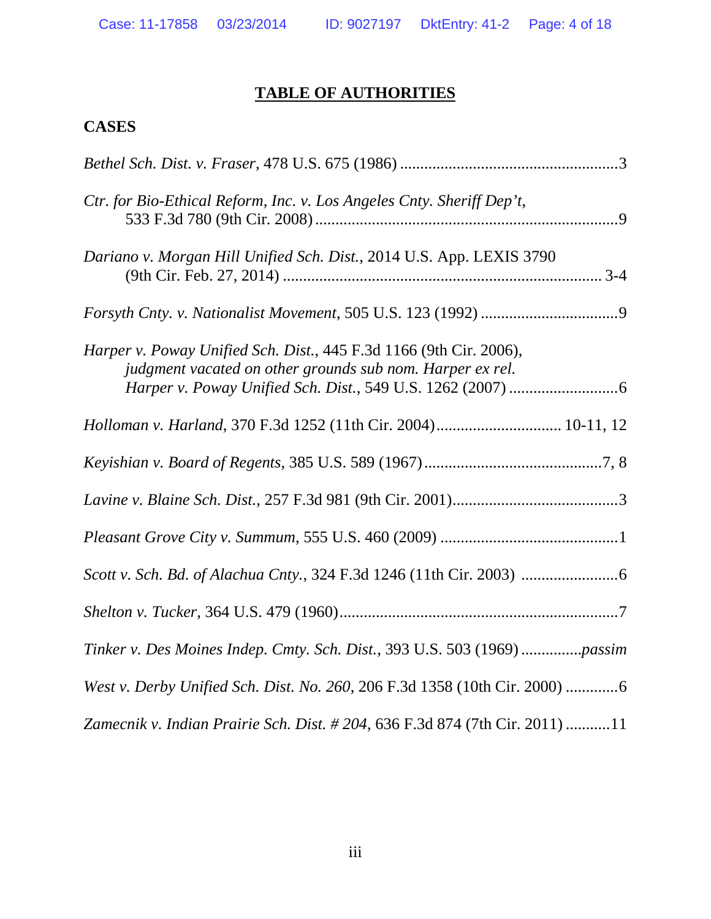## **TABLE OF AUTHORITIES**

## **CASES**

| Ctr. for Bio-Ethical Reform, Inc. v. Los Angeles Cnty. Sheriff Dep't,                                                           |
|---------------------------------------------------------------------------------------------------------------------------------|
| Dariano v. Morgan Hill Unified Sch. Dist., 2014 U.S. App. LEXIS 3790                                                            |
|                                                                                                                                 |
| Harper v. Poway Unified Sch. Dist., 445 F.3d 1166 (9th Cir. 2006),<br>judgment vacated on other grounds sub nom. Harper ex rel. |
| Holloman v. Harland, 370 F.3d 1252 (11th Cir. 2004) 10-11, 12                                                                   |
|                                                                                                                                 |
|                                                                                                                                 |
|                                                                                                                                 |
|                                                                                                                                 |
|                                                                                                                                 |
| Tinker v. Des Moines Indep. Cmty. Sch. Dist., 393 U.S. 503 (1969) passim                                                        |
| West v. Derby Unified Sch. Dist. No. 260, 206 F.3d 1358 (10th Cir. 2000) 6                                                      |
| Zamecnik v. Indian Prairie Sch. Dist. # 204, 636 F.3d 874 (7th Cir. 2011) 11                                                    |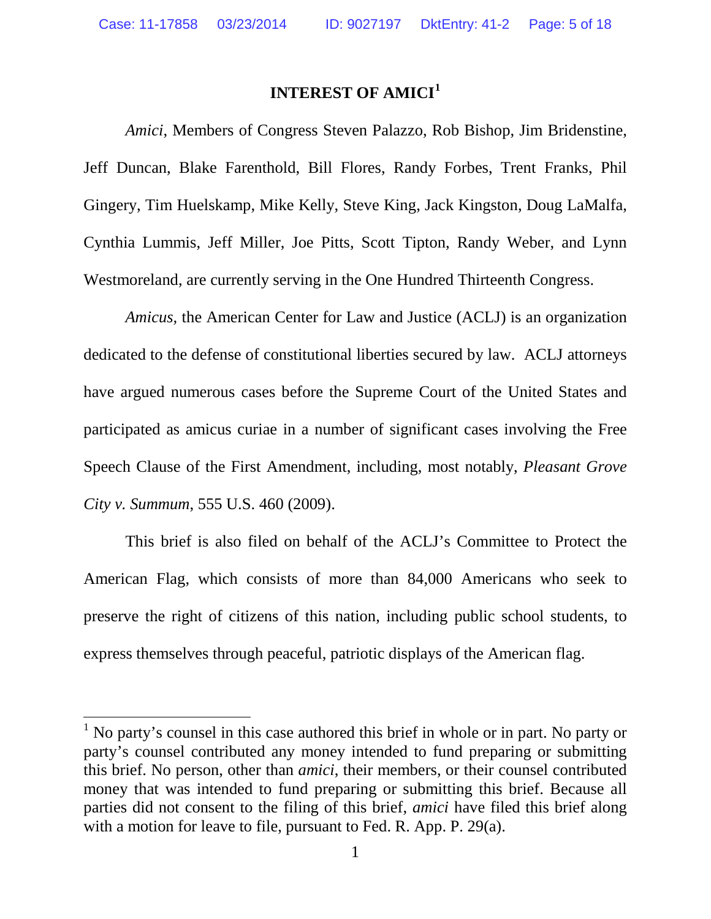### **INTEREST OF AMICI[1](#page-4-0)**

*Amici*, Members of Congress Steven Palazzo, Rob Bishop, Jim Bridenstine, Jeff Duncan, Blake Farenthold, Bill Flores, Randy Forbes, Trent Franks, Phil Gingery, Tim Huelskamp, Mike Kelly, Steve King, Jack Kingston, Doug LaMalfa, Cynthia Lummis, Jeff Miller, Joe Pitts, Scott Tipton, Randy Weber, and Lynn Westmoreland, are currently serving in the One Hundred Thirteenth Congress.

*Amicus,* the American Center for Law and Justice (ACLJ) is an organization dedicated to the defense of constitutional liberties secured by law. ACLJ attorneys have argued numerous cases before the Supreme Court of the United States and participated as amicus curiae in a number of significant cases involving the Free Speech Clause of the First Amendment, including, most notably, *Pleasant Grove City v. Summum*, 555 U.S. 460 (2009).

This brief is also filed on behalf of the ACLJ's Committee to Protect the American Flag, which consists of more than 84,000 Americans who seek to preserve the right of citizens of this nation, including public school students, to express themselves through peaceful, patriotic displays of the American flag.

l

<span id="page-4-0"></span> $<sup>1</sup>$  No party's counsel in this case authored this brief in whole or in part. No party or</sup> party's counsel contributed any money intended to fund preparing or submitting this brief. No person, other than *amici*, their members, or their counsel contributed money that was intended to fund preparing or submitting this brief. Because all parties did not consent to the filing of this brief, *amici* have filed this brief along with a motion for leave to file, pursuant to Fed. R. App. P. 29(a).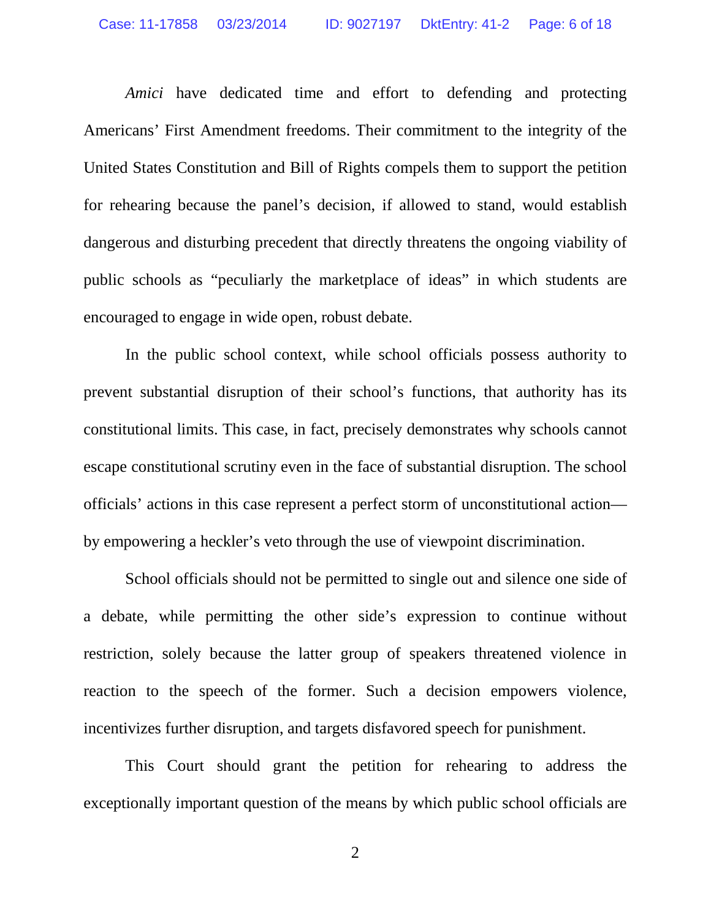*Amici* have dedicated time and effort to defending and protecting Americans' First Amendment freedoms. Their commitment to the integrity of the United States Constitution and Bill of Rights compels them to support the petition for rehearing because the panel's decision, if allowed to stand, would establish dangerous and disturbing precedent that directly threatens the ongoing viability of public schools as "peculiarly the marketplace of ideas" in which students are encouraged to engage in wide open, robust debate.

In the public school context, while school officials possess authority to prevent substantial disruption of their school's functions, that authority has its constitutional limits. This case, in fact, precisely demonstrates why schools cannot escape constitutional scrutiny even in the face of substantial disruption. The school officials' actions in this case represent a perfect storm of unconstitutional action by empowering a heckler's veto through the use of viewpoint discrimination.

School officials should not be permitted to single out and silence one side of a debate, while permitting the other side's expression to continue without restriction, solely because the latter group of speakers threatened violence in reaction to the speech of the former. Such a decision empowers violence, incentivizes further disruption, and targets disfavored speech for punishment.

This Court should grant the petition for rehearing to address the exceptionally important question of the means by which public school officials are

2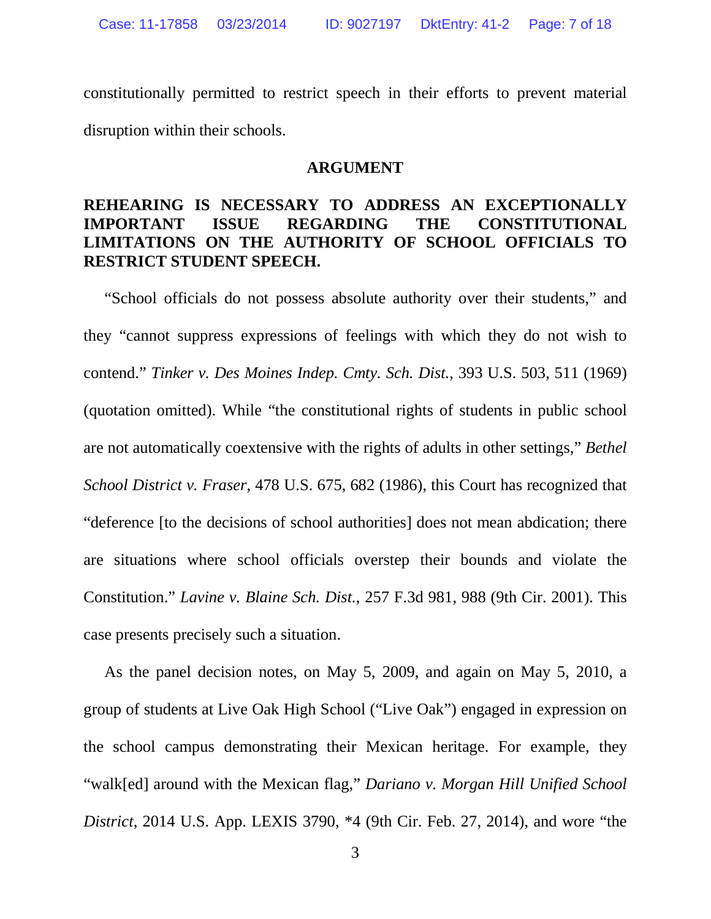constitutionally permitted to restrict speech in their efforts to prevent material disruption within their schools.

#### **ARGUMENT**

### **REHEARING IS NECESSARY TO ADDRESS AN EXCEPTIONALLY IMPORTANT ISSUE REGARDING THE CONSTITUTIONAL LIMITATIONS ON THE AUTHORITY OF SCHOOL OFFICIALS TO RESTRICT STUDENT SPEECH.**

"School officials do not possess absolute authority over their students," and they "cannot suppress expressions of feelings with which they do not wish to contend." *Tinker v. Des Moines Indep. Cmty. Sch. Dist.*, 393 U.S. 503, 511 (1969) (quotation omitted). While "the constitutional rights of students in public school are not automatically coextensive with the rights of adults in other settings," *Bethel School District v. Fraser*, 478 U.S. 675, 682 (1986), this Court has recognized that "deference [to the decisions of school authorities] does not mean abdication; there are situations where school officials overstep their bounds and violate the Constitution." *Lavine v. Blaine Sch. Dist.*, 257 F.3d 981, 988 (9th Cir. 2001). This case presents precisely such a situation.

As the panel decision notes, on May 5, 2009, and again on May 5, 2010, a group of students at Live Oak High School ("Live Oak") engaged in expression on the school campus demonstrating their Mexican heritage. For example, they "walk[ed] around with the Mexican flag," *Dariano v. Morgan Hill Unified School District*, 2014 U.S. App. LEXIS 3790, \*4 (9th Cir. Feb. 27, 2014), and wore "the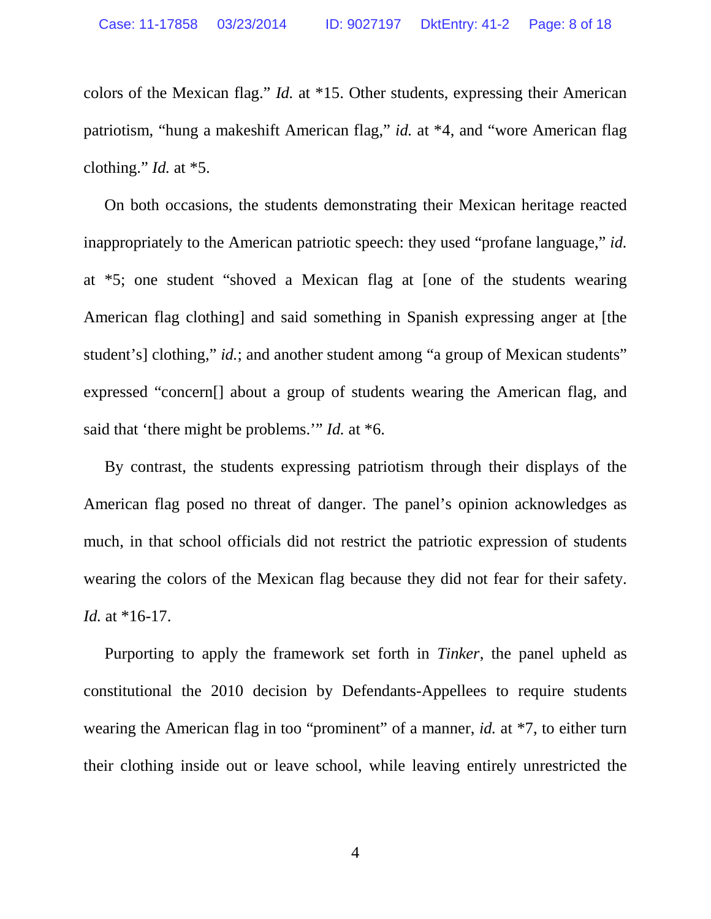colors of the Mexican flag." *Id.* at \*15. Other students, expressing their American patriotism, "hung a makeshift American flag," *id.* at \*4, and "wore American flag clothing." *Id.* at \*5.

On both occasions, the students demonstrating their Mexican heritage reacted inappropriately to the American patriotic speech: they used "profane language," *id.* at \*5; one student "shoved a Mexican flag at [one of the students wearing American flag clothing] and said something in Spanish expressing anger at [the student's] clothing," *id.*; and another student among "a group of Mexican students" expressed "concern[] about a group of students wearing the American flag, and said that 'there might be problems.'" *Id.* at \*6.

By contrast, the students expressing patriotism through their displays of the American flag posed no threat of danger. The panel's opinion acknowledges as much, in that school officials did not restrict the patriotic expression of students wearing the colors of the Mexican flag because they did not fear for their safety. *Id.* at \*16-17.

Purporting to apply the framework set forth in *Tinker*, the panel upheld as constitutional the 2010 decision by Defendants-Appellees to require students wearing the American flag in too "prominent" of a manner, *id.* at \*7, to either turn their clothing inside out or leave school, while leaving entirely unrestricted the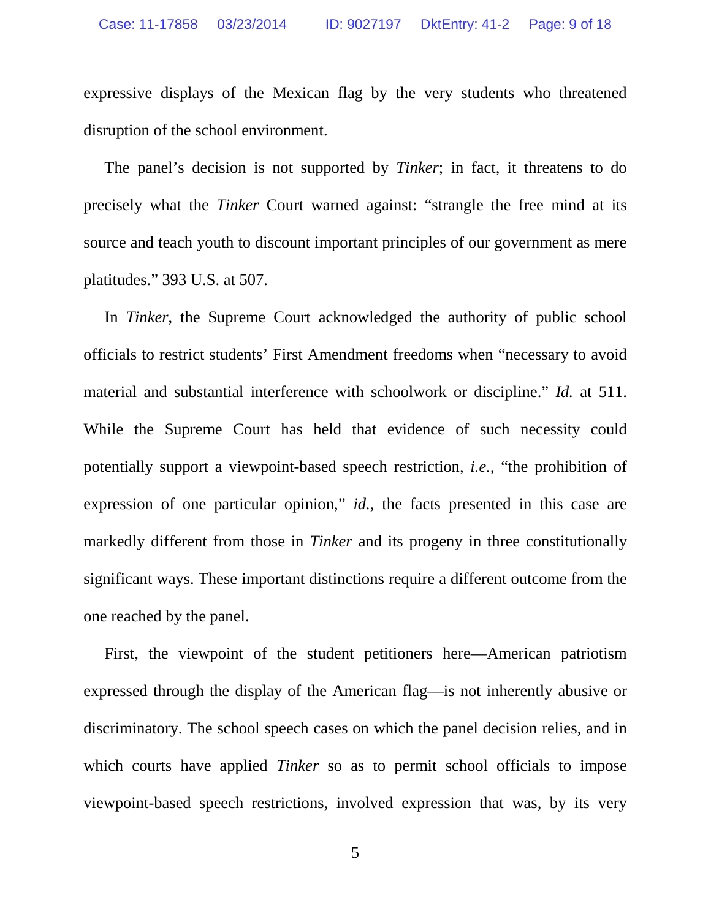expressive displays of the Mexican flag by the very students who threatened disruption of the school environment.

The panel's decision is not supported by *Tinker*; in fact, it threatens to do precisely what the *Tinker* Court warned against: "strangle the free mind at its source and teach youth to discount important principles of our government as mere platitudes." 393 U.S. at 507.

In *Tinker*, the Supreme Court acknowledged the authority of public school officials to restrict students' First Amendment freedoms when "necessary to avoid material and substantial interference with schoolwork or discipline." *Id.* at 511. While the Supreme Court has held that evidence of such necessity could potentially support a viewpoint-based speech restriction, *i.e.,* "the prohibition of expression of one particular opinion," *id.*, the facts presented in this case are markedly different from those in *Tinker* and its progeny in three constitutionally significant ways. These important distinctions require a different outcome from the one reached by the panel.

First, the viewpoint of the student petitioners here—American patriotism expressed through the display of the American flag—is not inherently abusive or discriminatory. The school speech cases on which the panel decision relies, and in which courts have applied *Tinker* so as to permit school officials to impose viewpoint-based speech restrictions, involved expression that was, by its very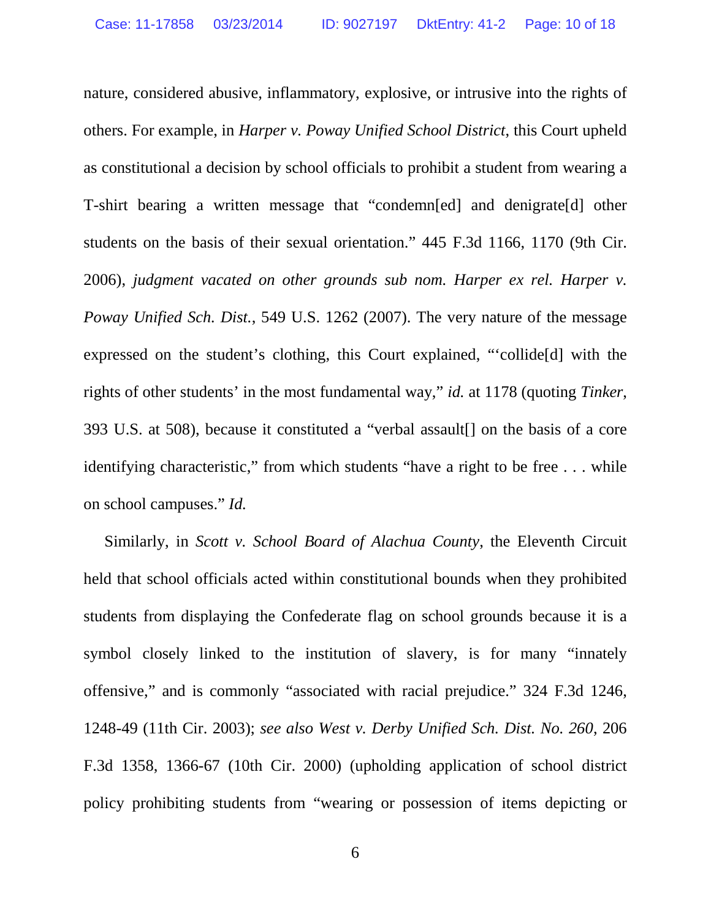nature, considered abusive, inflammatory, explosive, or intrusive into the rights of others. For example, in *Harper v. Poway Unified School District*, this Court upheld as constitutional a decision by school officials to prohibit a student from wearing a T-shirt bearing a written message that "condemn[ed] and denigrate[d] other students on the basis of their sexual orientation." 445 F.3d 1166, 1170 (9th Cir. 2006), *judgment vacated on other grounds sub nom. Harper ex rel. Harper v. Poway Unified Sch. Dist.*, 549 U.S. 1262 (2007). The very nature of the message expressed on the student's clothing, this Court explained, "'collide[d] with the rights of other students' in the most fundamental way," *id.* at 1178 (quoting *Tinker*, 393 U.S. at 508), because it constituted a "verbal assault[] on the basis of a core identifying characteristic," from which students "have a right to be free . . . while on school campuses." *Id.*

Similarly, in *Scott v. School Board of Alachua County*, the Eleventh Circuit held that school officials acted within constitutional bounds when they prohibited students from displaying the Confederate flag on school grounds because it is a symbol closely linked to the institution of slavery, is for many "innately offensive," and is commonly "associated with racial prejudice." 324 F.3d 1246, 1248-49 (11th Cir. 2003); *see also West v. Derby Unified Sch. Dist. No. 260*, 206 F.3d 1358, 1366-67 (10th Cir. 2000) (upholding application of school district policy prohibiting students from "wearing or possession of items depicting or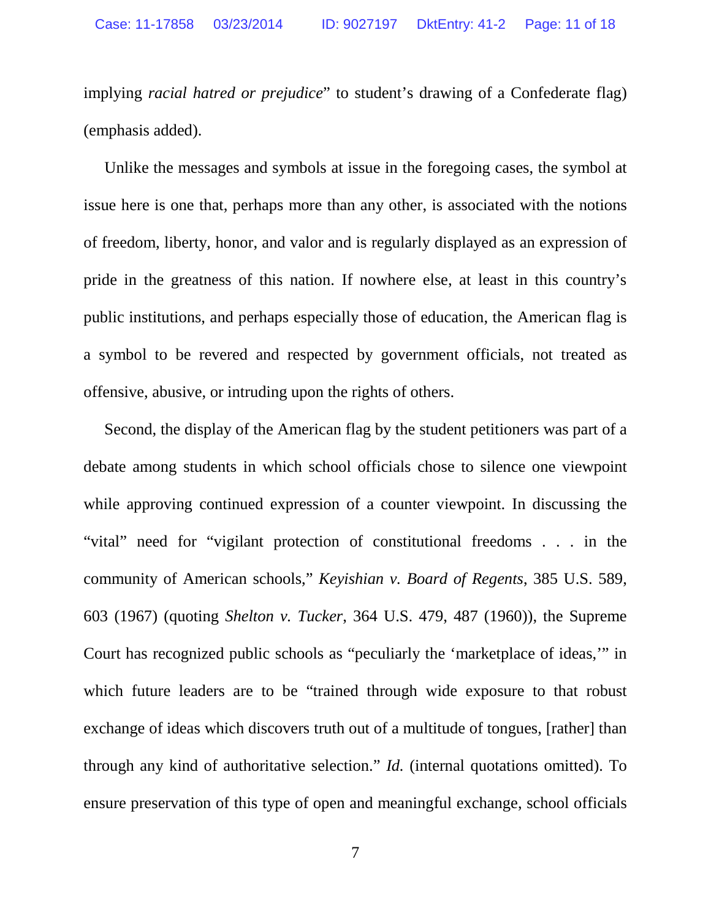implying *racial hatred or prejudice*" to student's drawing of a Confederate flag) (emphasis added).

Unlike the messages and symbols at issue in the foregoing cases, the symbol at issue here is one that, perhaps more than any other, is associated with the notions of freedom, liberty, honor, and valor and is regularly displayed as an expression of pride in the greatness of this nation. If nowhere else, at least in this country's public institutions, and perhaps especially those of education, the American flag is a symbol to be revered and respected by government officials, not treated as offensive, abusive, or intruding upon the rights of others.

Second, the display of the American flag by the student petitioners was part of a debate among students in which school officials chose to silence one viewpoint while approving continued expression of a counter viewpoint. In discussing the "vital" need for "vigilant protection of constitutional freedoms . . . in the community of American schools," *Keyishian v. Board of Regents*, 385 U.S. 589, 603 (1967) (quoting *Shelton v. Tucker*, 364 U.S. 479, 487 (1960)), the Supreme Court has recognized public schools as "peculiarly the 'marketplace of ideas,'" in which future leaders are to be "trained through wide exposure to that robust exchange of ideas which discovers truth out of a multitude of tongues, [rather] than through any kind of authoritative selection." *Id.* (internal quotations omitted). To ensure preservation of this type of open and meaningful exchange, school officials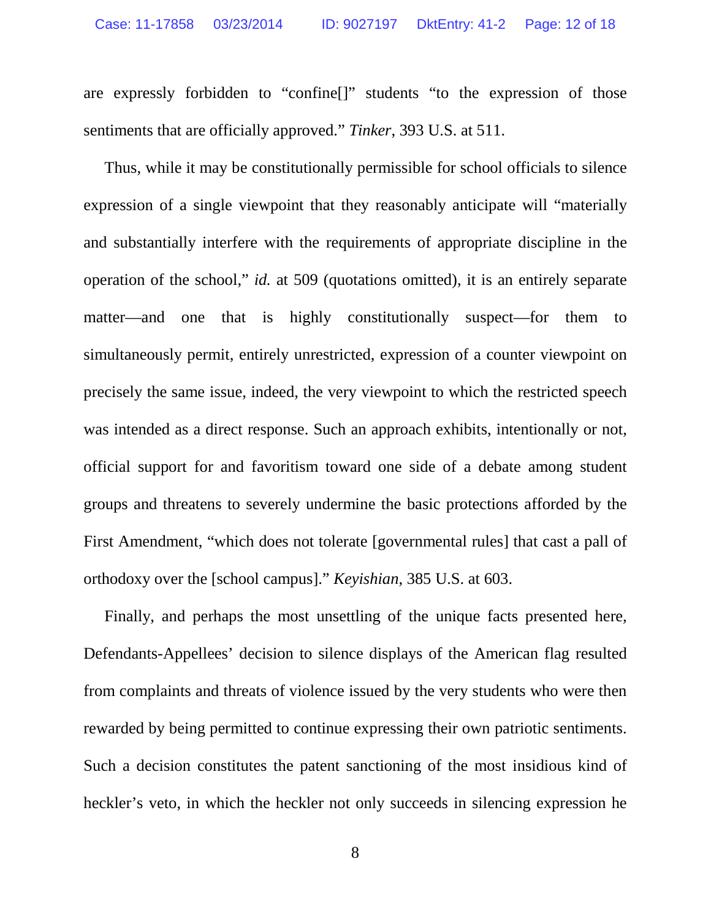are expressly forbidden to "confine[]" students "to the expression of those sentiments that are officially approved." *Tinker*, 393 U.S. at 511.

Thus, while it may be constitutionally permissible for school officials to silence expression of a single viewpoint that they reasonably anticipate will "materially and substantially interfere with the requirements of appropriate discipline in the operation of the school," *id.* at 509 (quotations omitted), it is an entirely separate matter—and one that is highly constitutionally suspect—for them to simultaneously permit, entirely unrestricted, expression of a counter viewpoint on precisely the same issue, indeed, the very viewpoint to which the restricted speech was intended as a direct response. Such an approach exhibits, intentionally or not, official support for and favoritism toward one side of a debate among student groups and threatens to severely undermine the basic protections afforded by the First Amendment, "which does not tolerate [governmental rules] that cast a pall of orthodoxy over the [school campus]." *Keyishian*, 385 U.S. at 603.

Finally, and perhaps the most unsettling of the unique facts presented here, Defendants-Appellees' decision to silence displays of the American flag resulted from complaints and threats of violence issued by the very students who were then rewarded by being permitted to continue expressing their own patriotic sentiments. Such a decision constitutes the patent sanctioning of the most insidious kind of heckler's veto, in which the heckler not only succeeds in silencing expression he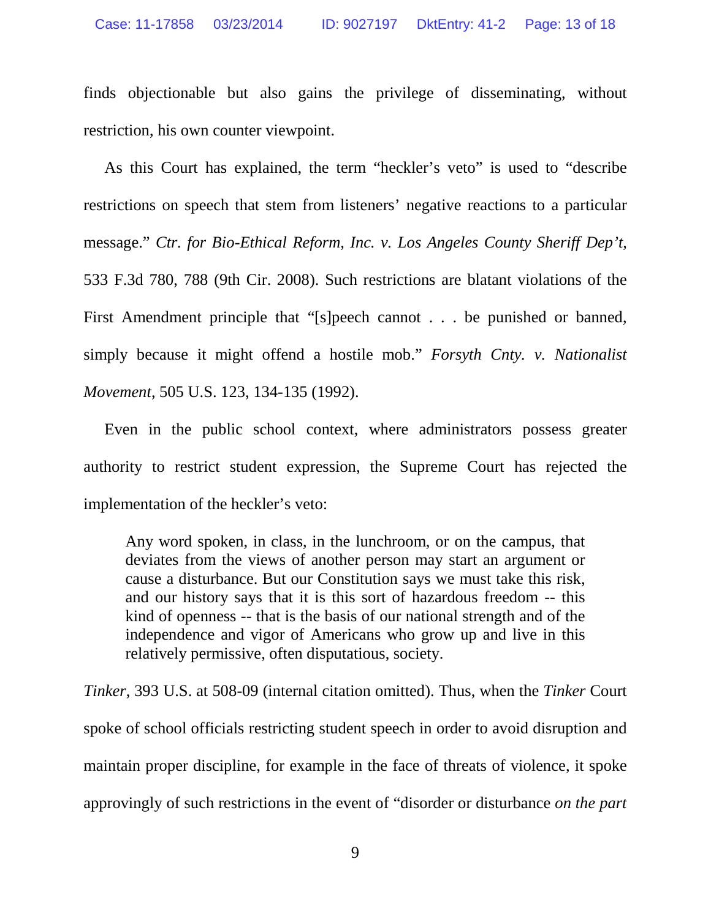finds objectionable but also gains the privilege of disseminating, without restriction, his own counter viewpoint.

As this Court has explained, the term "heckler's veto" is used to "describe restrictions on speech that stem from listeners' negative reactions to a particular message." *Ctr. for Bio-Ethical Reform, Inc. v. Los Angeles County Sheriff Dep't*, 533 F.3d 780, 788 (9th Cir. 2008). Such restrictions are blatant violations of the First Amendment principle that "[s]peech cannot . . . be punished or banned, simply because it might offend a hostile mob." *Forsyth Cnty. v. Nationalist Movement*, 505 U.S. 123, 134-135 (1992).

Even in the public school context, where administrators possess greater authority to restrict student expression, the Supreme Court has rejected the implementation of the heckler's veto:

Any word spoken, in class, in the lunchroom, or on the campus, that deviates from the views of another person may start an argument or cause a disturbance. But our Constitution says we must take this risk, and our history says that it is this sort of hazardous freedom -- this kind of openness -- that is the basis of our national strength and of the independence and vigor of Americans who grow up and live in this relatively permissive, often disputatious, society.

*Tinker*, 393 U.S. at 508-09 (internal citation omitted). Thus, when the *Tinker* Court spoke of school officials restricting student speech in order to avoid disruption and maintain proper discipline, for example in the face of threats of violence, it spoke approvingly of such restrictions in the event of "disorder or disturbance *on the part*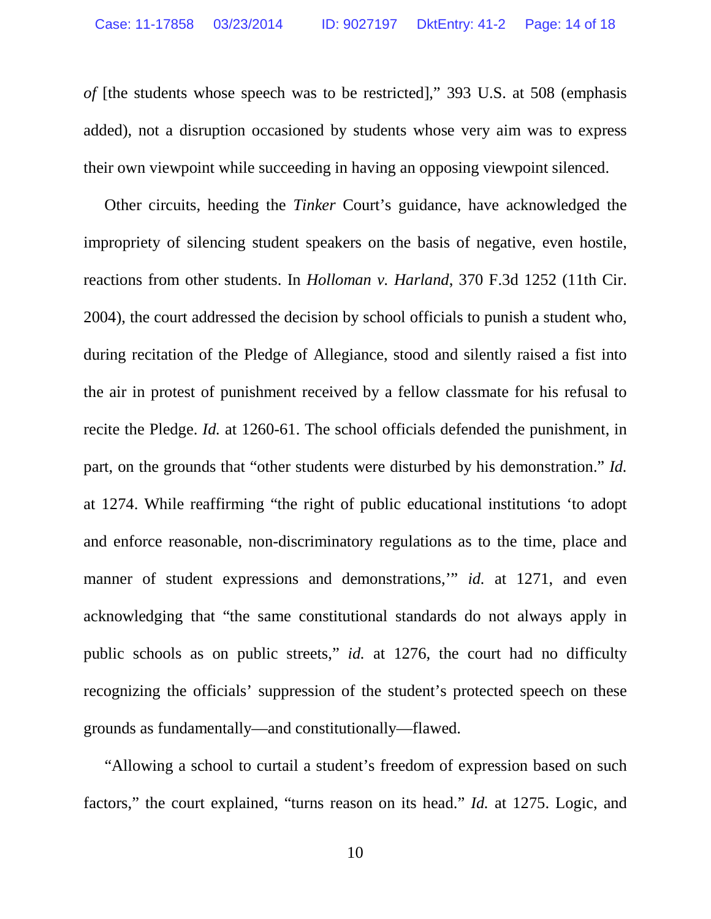*of* [the students whose speech was to be restricted]," 393 U.S. at 508 (emphasis added), not a disruption occasioned by students whose very aim was to express their own viewpoint while succeeding in having an opposing viewpoint silenced.

Other circuits, heeding the *Tinker* Court's guidance, have acknowledged the impropriety of silencing student speakers on the basis of negative, even hostile, reactions from other students. In *Holloman v. Harland*, 370 F.3d 1252 (11th Cir. 2004), the court addressed the decision by school officials to punish a student who, during recitation of the Pledge of Allegiance, stood and silently raised a fist into the air in protest of punishment received by a fellow classmate for his refusal to recite the Pledge. *Id.* at 1260-61. The school officials defended the punishment, in part, on the grounds that "other students were disturbed by his demonstration." *Id.* at 1274. While reaffirming "the right of public educational institutions 'to adopt and enforce reasonable, non-discriminatory regulations as to the time, place and manner of student expressions and demonstrations," *id.* at 1271, and even acknowledging that "the same constitutional standards do not always apply in public schools as on public streets," *id.* at 1276, the court had no difficulty recognizing the officials' suppression of the student's protected speech on these grounds as fundamentally—and constitutionally—flawed.

"Allowing a school to curtail a student's freedom of expression based on such factors," the court explained, "turns reason on its head." *Id.* at 1275. Logic, and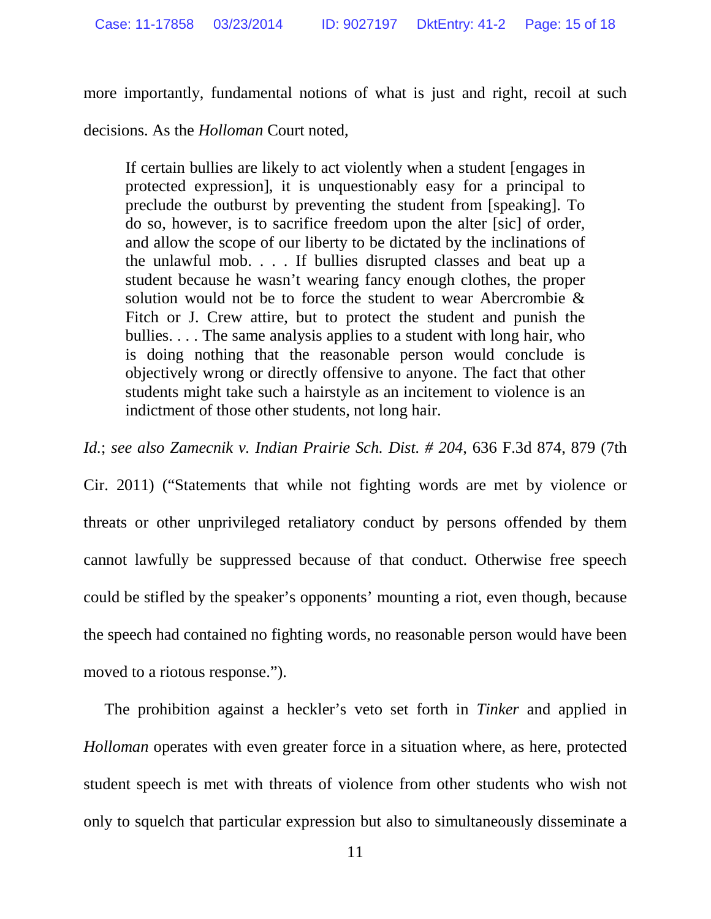more importantly, fundamental notions of what is just and right, recoil at such

decisions. As the *Holloman* Court noted,

If certain bullies are likely to act violently when a student [engages in protected expression], it is unquestionably easy for a principal to preclude the outburst by preventing the student from [speaking]. To do so, however, is to sacrifice freedom upon the alter [sic] of order, and allow the scope of our liberty to be dictated by the inclinations of the unlawful mob. . . . If bullies disrupted classes and beat up a student because he wasn't wearing fancy enough clothes, the proper solution would not be to force the student to wear Abercrombie & Fitch or J. Crew attire, but to protect the student and punish the bullies. . . . The same analysis applies to a student with long hair, who is doing nothing that the reasonable person would conclude is objectively wrong or directly offensive to anyone. The fact that other students might take such a hairstyle as an incitement to violence is an indictment of those other students, not long hair.

*Id.*; *see also Zamecnik v. Indian Prairie Sch. Dist. # 204*, 636 F.3d 874, 879 (7th

Cir. 2011) ("Statements that while not fighting words are met by violence or threats or other unprivileged retaliatory conduct by persons offended by them cannot lawfully be suppressed because of that conduct. Otherwise free speech could be stifled by the speaker's opponents' mounting a riot, even though, because the speech had contained no fighting words, no reasonable person would have been moved to a riotous response.").

The prohibition against a heckler's veto set forth in *Tinker* and applied in *Holloman* operates with even greater force in a situation where, as here, protected student speech is met with threats of violence from other students who wish not only to squelch that particular expression but also to simultaneously disseminate a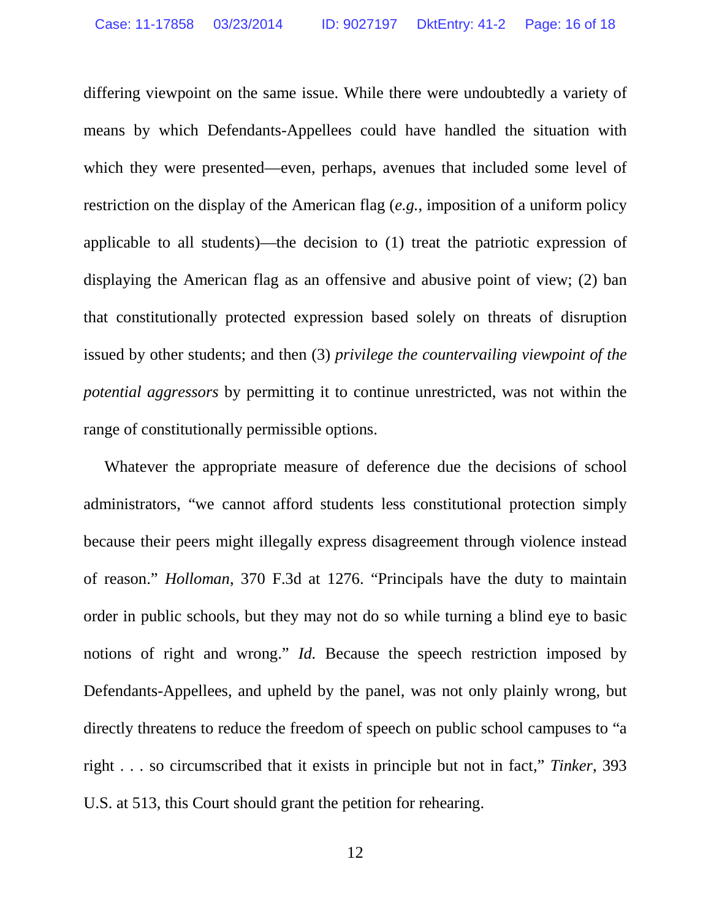differing viewpoint on the same issue. While there were undoubtedly a variety of means by which Defendants-Appellees could have handled the situation with which they were presented—even, perhaps, avenues that included some level of restriction on the display of the American flag (*e.g.*, imposition of a uniform policy applicable to all students)—the decision to (1) treat the patriotic expression of displaying the American flag as an offensive and abusive point of view; (2) ban that constitutionally protected expression based solely on threats of disruption issued by other students; and then (3) *privilege the countervailing viewpoint of the potential aggressors* by permitting it to continue unrestricted, was not within the range of constitutionally permissible options.

Whatever the appropriate measure of deference due the decisions of school administrators, "we cannot afford students less constitutional protection simply because their peers might illegally express disagreement through violence instead of reason." *Holloman*, 370 F.3d at 1276. "Principals have the duty to maintain order in public schools, but they may not do so while turning a blind eye to basic notions of right and wrong." *Id.* Because the speech restriction imposed by Defendants-Appellees, and upheld by the panel, was not only plainly wrong, but directly threatens to reduce the freedom of speech on public school campuses to "a right . . . so circumscribed that it exists in principle but not in fact," *Tinker*, 393 U.S. at 513, this Court should grant the petition for rehearing.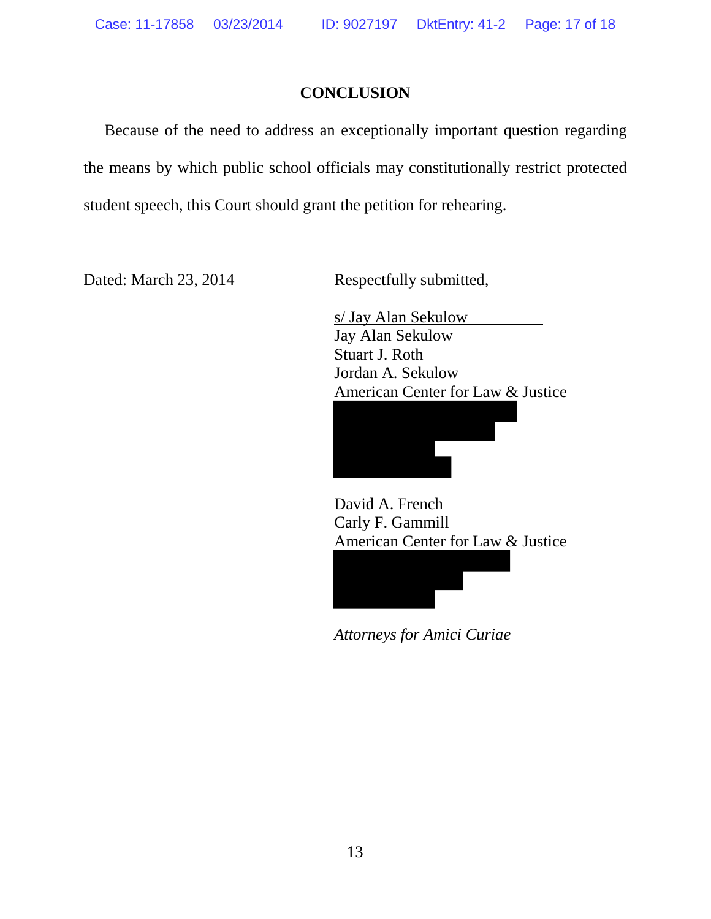### **CONCLUSION**

Because of the need to address an exceptionally important question regarding the means by which public school officials may constitutionally restrict protected student speech, this Court should grant the petition for rehearing.

Dated: March 23, 2014 Respectfully submitted,

 s/ Jay Alan Sekulow Jay Alan Sekulow Stuart J. Roth Jordan A. Sekulow American Center for Law & Justice

David A. French Carly F. Gammill American Center for Law & Justice



 *Attorneys for Amici Curiae*